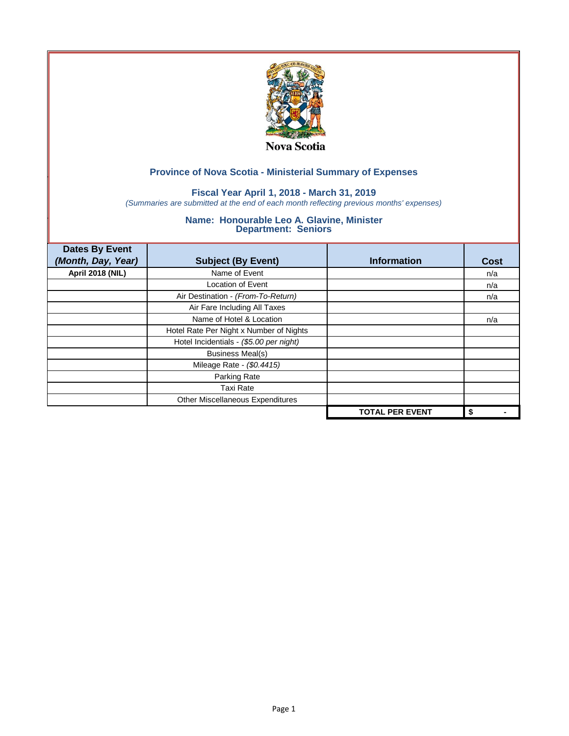

## **Fiscal Year April 1, 2018 - March 31, 2019**

*(Summaries are submitted at the end of each month reflecting previous months' expenses)*

| <b>Dates By Event</b>   |                                         |                        |             |
|-------------------------|-----------------------------------------|------------------------|-------------|
| (Month, Day, Year)      | <b>Subject (By Event)</b>               | <b>Information</b>     | <b>Cost</b> |
| <b>April 2018 (NIL)</b> | Name of Event                           |                        | n/a         |
|                         | <b>Location of Event</b>                |                        | n/a         |
|                         | Air Destination - (From-To-Return)      |                        | n/a         |
|                         | Air Fare Including All Taxes            |                        |             |
|                         | Name of Hotel & Location                |                        | n/a         |
|                         | Hotel Rate Per Night x Number of Nights |                        |             |
|                         | Hotel Incidentials - (\$5.00 per night) |                        |             |
|                         | <b>Business Meal(s)</b>                 |                        |             |
|                         | Mileage Rate - (\$0.4415)               |                        |             |
|                         | Parking Rate                            |                        |             |
|                         | <b>Taxi Rate</b>                        |                        |             |
|                         | Other Miscellaneous Expenditures        |                        |             |
|                         |                                         | <b>TOTAL PER EVENT</b> | \$          |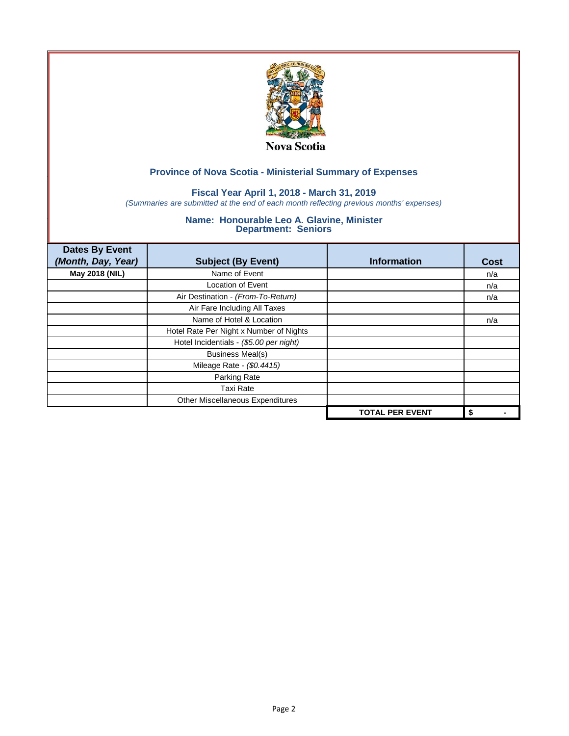

## **Fiscal Year April 1, 2018 - March 31, 2019**

*(Summaries are submitted at the end of each month reflecting previous months' expenses)*

| <b>Dates By Event</b><br>(Month, Day, Year) | <b>Subject (By Event)</b>               | <b>Information</b>     | <b>Cost</b> |
|---------------------------------------------|-----------------------------------------|------------------------|-------------|
| May 2018 (NIL)                              | Name of Event                           |                        | n/a         |
|                                             | <b>Location of Event</b>                |                        | n/a         |
|                                             | Air Destination - (From-To-Return)      |                        | n/a         |
|                                             | Air Fare Including All Taxes            |                        |             |
|                                             | Name of Hotel & Location                |                        | n/a         |
|                                             | Hotel Rate Per Night x Number of Nights |                        |             |
|                                             | Hotel Incidentials - (\$5.00 per night) |                        |             |
|                                             | <b>Business Meal(s)</b>                 |                        |             |
|                                             | Mileage Rate - (\$0.4415)               |                        |             |
|                                             | Parking Rate                            |                        |             |
|                                             | <b>Taxi Rate</b>                        |                        |             |
|                                             | Other Miscellaneous Expenditures        |                        |             |
|                                             |                                         | <b>TOTAL PER EVENT</b> | \$          |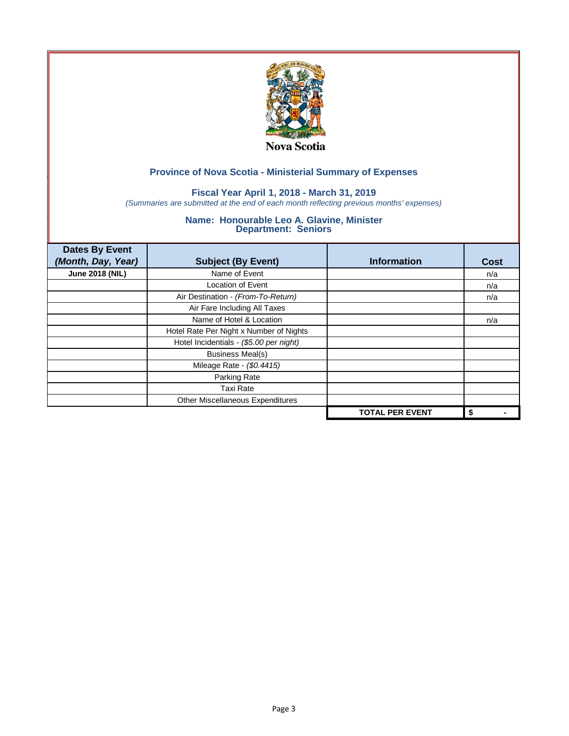

## **Fiscal Year April 1, 2018 - March 31, 2019**

*(Summaries are submitted at the end of each month reflecting previous months' expenses)*

| <b>Dates By Event</b><br>(Month, Day, Year) | <b>Subject (By Event)</b>               | <b>Information</b>     | <b>Cost</b> |
|---------------------------------------------|-----------------------------------------|------------------------|-------------|
| <b>June 2018 (NIL)</b>                      | Name of Event                           |                        | n/a         |
|                                             | <b>Location of Event</b>                |                        | n/a         |
|                                             | Air Destination - (From-To-Return)      |                        | n/a         |
|                                             | Air Fare Including All Taxes            |                        |             |
|                                             | Name of Hotel & Location                |                        | n/a         |
|                                             | Hotel Rate Per Night x Number of Nights |                        |             |
|                                             | Hotel Incidentials - (\$5.00 per night) |                        |             |
|                                             | <b>Business Meal(s)</b>                 |                        |             |
|                                             | Mileage Rate - (\$0.4415)               |                        |             |
|                                             | Parking Rate                            |                        |             |
|                                             | <b>Taxi Rate</b>                        |                        |             |
|                                             | Other Miscellaneous Expenditures        |                        |             |
|                                             |                                         | <b>TOTAL PER EVENT</b> | \$          |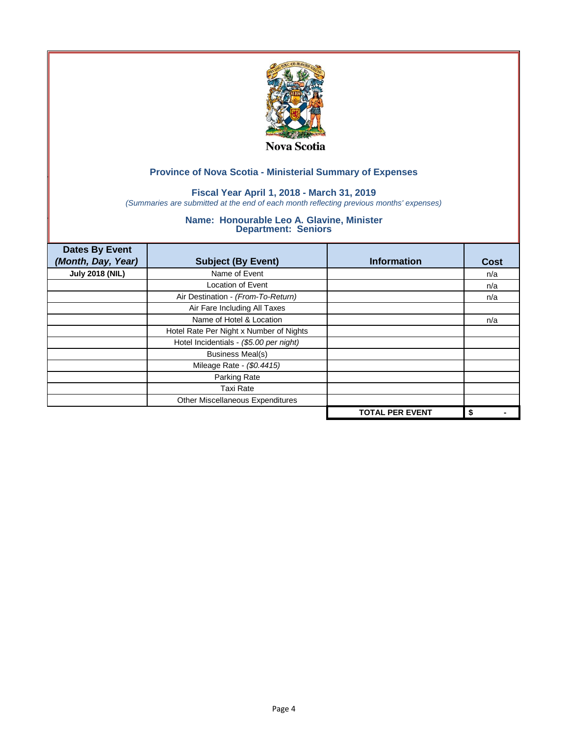

## **Fiscal Year April 1, 2018 - March 31, 2019**

*(Summaries are submitted at the end of each month reflecting previous months' expenses)*

| <b>Dates By Event</b><br>(Month, Day, Year) | <b>Subject (By Event)</b>               | <b>Information</b>     | <b>Cost</b> |
|---------------------------------------------|-----------------------------------------|------------------------|-------------|
| <b>July 2018 (NIL)</b>                      | Name of Event                           |                        | n/a         |
|                                             | <b>Location of Event</b>                |                        | n/a         |
|                                             | Air Destination - (From-To-Return)      |                        | n/a         |
|                                             | Air Fare Including All Taxes            |                        |             |
|                                             | Name of Hotel & Location                |                        | n/a         |
|                                             | Hotel Rate Per Night x Number of Nights |                        |             |
|                                             | Hotel Incidentials - (\$5.00 per night) |                        |             |
|                                             | <b>Business Meal(s)</b>                 |                        |             |
|                                             | Mileage Rate - (\$0.4415)               |                        |             |
|                                             | Parking Rate                            |                        |             |
|                                             | <b>Taxi Rate</b>                        |                        |             |
|                                             | Other Miscellaneous Expenditures        |                        |             |
|                                             |                                         | <b>TOTAL PER EVENT</b> | \$          |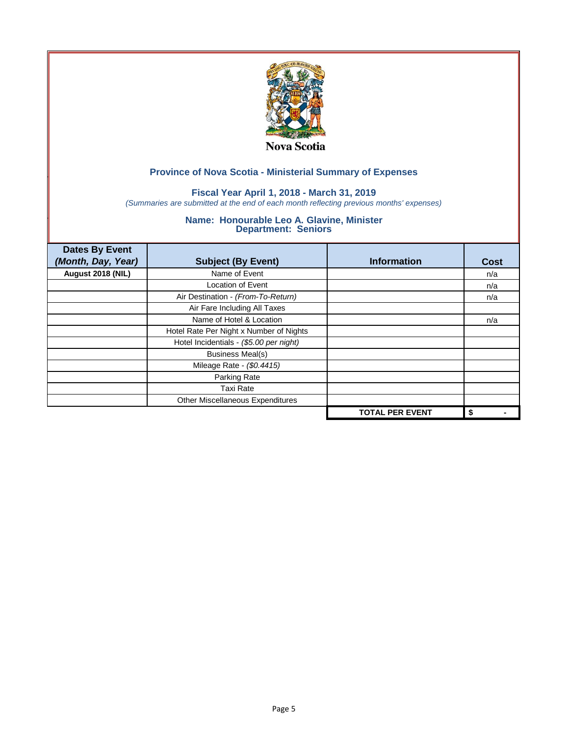

## **Fiscal Year April 1, 2018 - March 31, 2019**

*(Summaries are submitted at the end of each month reflecting previous months' expenses)*

| <b>Dates By Event</b><br>(Month, Day, Year) | <b>Subject (By Event)</b>               | <b>Information</b>     | <b>Cost</b> |
|---------------------------------------------|-----------------------------------------|------------------------|-------------|
| August 2018 (NIL)                           | Name of Event                           |                        | n/a         |
|                                             | <b>Location of Event</b>                |                        | n/a         |
|                                             | Air Destination - (From-To-Return)      |                        | n/a         |
|                                             | Air Fare Including All Taxes            |                        |             |
|                                             | Name of Hotel & Location                |                        | n/a         |
|                                             | Hotel Rate Per Night x Number of Nights |                        |             |
|                                             | Hotel Incidentials - (\$5.00 per night) |                        |             |
|                                             | <b>Business Meal(s)</b>                 |                        |             |
|                                             | Mileage Rate - (\$0.4415)               |                        |             |
|                                             | Parking Rate                            |                        |             |
|                                             | <b>Taxi Rate</b>                        |                        |             |
|                                             | Other Miscellaneous Expenditures        |                        |             |
|                                             |                                         | <b>TOTAL PER EVENT</b> | \$          |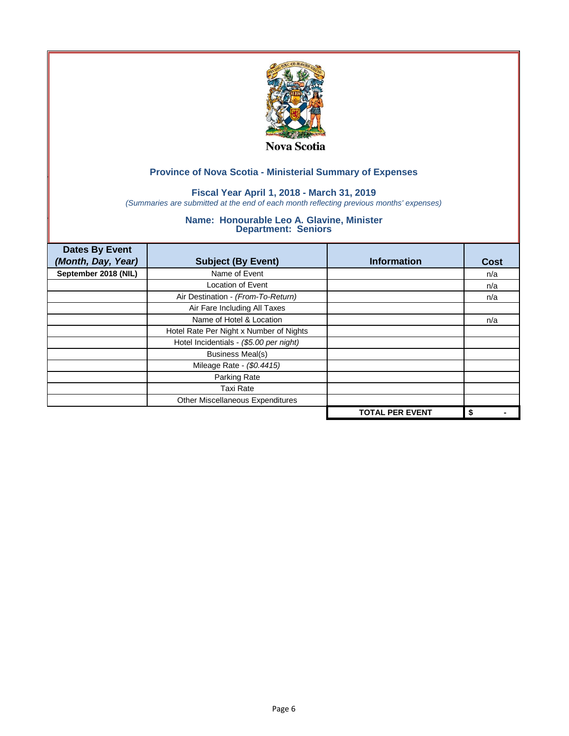

## **Fiscal Year April 1, 2018 - March 31, 2019**

*(Summaries are submitted at the end of each month reflecting previous months' expenses)*

| <b>Dates By Event</b> |                                         |                        |      |
|-----------------------|-----------------------------------------|------------------------|------|
| (Month, Day, Year)    | <b>Subject (By Event)</b>               | <b>Information</b>     | Cost |
| September 2018 (NIL)  | Name of Event                           |                        | n/a  |
|                       | <b>Location of Event</b>                |                        | n/a  |
|                       | Air Destination - (From-To-Return)      |                        | n/a  |
|                       | Air Fare Including All Taxes            |                        |      |
|                       | Name of Hotel & Location                |                        | n/a  |
|                       | Hotel Rate Per Night x Number of Nights |                        |      |
|                       | Hotel Incidentials - (\$5.00 per night) |                        |      |
|                       | <b>Business Meal(s)</b>                 |                        |      |
|                       | Mileage Rate - (\$0.4415)               |                        |      |
|                       | Parking Rate                            |                        |      |
|                       | <b>Taxi Rate</b>                        |                        |      |
|                       | Other Miscellaneous Expenditures        |                        |      |
|                       |                                         | <b>TOTAL PER EVENT</b> | \$   |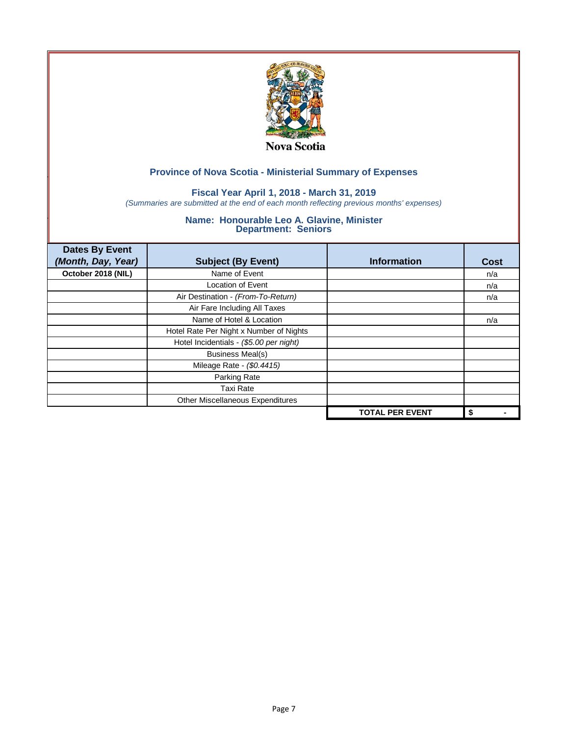

## **Fiscal Year April 1, 2018 - March 31, 2019**

*(Summaries are submitted at the end of each month reflecting previous months' expenses)*

| <b>Dates By Event</b><br>(Month, Day, Year) | <b>Subject (By Event)</b>               | <b>Information</b>     | <b>Cost</b> |
|---------------------------------------------|-----------------------------------------|------------------------|-------------|
| October 2018 (NIL)                          | Name of Event                           |                        | n/a         |
|                                             | <b>Location of Event</b>                |                        | n/a         |
|                                             | Air Destination - (From-To-Return)      |                        | n/a         |
|                                             | Air Fare Including All Taxes            |                        |             |
|                                             | Name of Hotel & Location                |                        | n/a         |
|                                             | Hotel Rate Per Night x Number of Nights |                        |             |
|                                             | Hotel Incidentials - (\$5.00 per night) |                        |             |
|                                             | <b>Business Meal(s)</b>                 |                        |             |
|                                             | Mileage Rate - (\$0.4415)               |                        |             |
|                                             | Parking Rate                            |                        |             |
|                                             | <b>Taxi Rate</b>                        |                        |             |
|                                             | Other Miscellaneous Expenditures        |                        |             |
|                                             |                                         | <b>TOTAL PER EVENT</b> | \$          |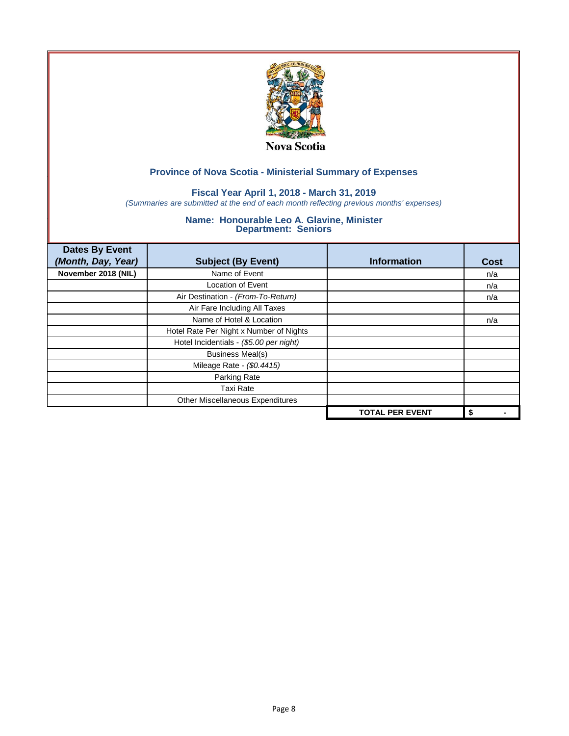

## **Fiscal Year April 1, 2018 - March 31, 2019**

*(Summaries are submitted at the end of each month reflecting previous months' expenses)*

| <b>Dates By Event</b> |                                         |                        |      |
|-----------------------|-----------------------------------------|------------------------|------|
| (Month, Day, Year)    | <b>Subject (By Event)</b>               | <b>Information</b>     | Cost |
| November 2018 (NIL)   | Name of Event                           |                        | n/a  |
|                       | <b>Location of Event</b>                |                        | n/a  |
|                       | Air Destination - (From-To-Return)      |                        | n/a  |
|                       | Air Fare Including All Taxes            |                        |      |
|                       | Name of Hotel & Location                |                        | n/a  |
|                       | Hotel Rate Per Night x Number of Nights |                        |      |
|                       | Hotel Incidentials - (\$5.00 per night) |                        |      |
|                       | <b>Business Meal(s)</b>                 |                        |      |
|                       | Mileage Rate - (\$0.4415)               |                        |      |
|                       | Parking Rate                            |                        |      |
|                       | <b>Taxi Rate</b>                        |                        |      |
|                       | Other Miscellaneous Expenditures        |                        |      |
|                       |                                         | <b>TOTAL PER EVENT</b> | \$   |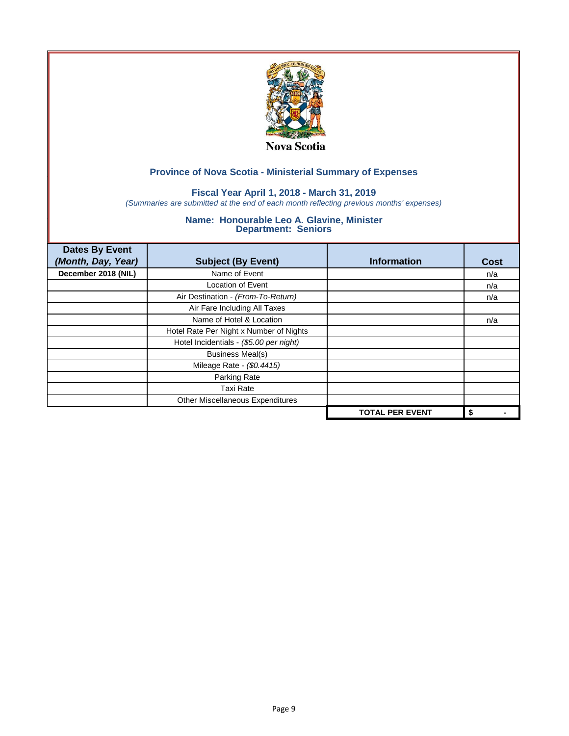

## **Fiscal Year April 1, 2018 - March 31, 2019**

*(Summaries are submitted at the end of each month reflecting previous months' expenses)*

| <b>Dates By Event</b> |                                         |                        |      |
|-----------------------|-----------------------------------------|------------------------|------|
| (Month, Day, Year)    | <b>Subject (By Event)</b>               | <b>Information</b>     | Cost |
| December 2018 (NIL)   | Name of Event                           |                        | n/a  |
|                       | <b>Location of Event</b>                |                        | n/a  |
|                       | Air Destination - (From-To-Return)      |                        | n/a  |
|                       | Air Fare Including All Taxes            |                        |      |
|                       | Name of Hotel & Location                |                        | n/a  |
|                       | Hotel Rate Per Night x Number of Nights |                        |      |
|                       | Hotel Incidentials - (\$5.00 per night) |                        |      |
|                       | <b>Business Meal(s)</b>                 |                        |      |
|                       | Mileage Rate - (\$0.4415)               |                        |      |
|                       | Parking Rate                            |                        |      |
|                       | <b>Taxi Rate</b>                        |                        |      |
|                       | Other Miscellaneous Expenditures        |                        |      |
|                       |                                         | <b>TOTAL PER EVENT</b> | \$   |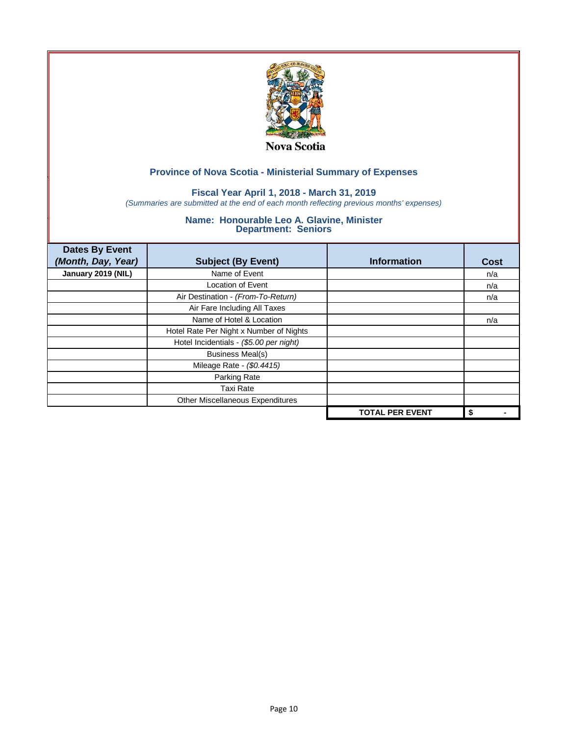

## **Fiscal Year April 1, 2018 - March 31, 2019**

*(Summaries are submitted at the end of each month reflecting previous months' expenses)*

| <b>Dates By Event</b><br>(Month, Day, Year) | <b>Subject (By Event)</b>               | <b>Information</b>     | <b>Cost</b> |
|---------------------------------------------|-----------------------------------------|------------------------|-------------|
| January 2019 (NIL)                          | Name of Event                           |                        | n/a         |
|                                             | <b>Location of Event</b>                |                        | n/a         |
|                                             | Air Destination - (From-To-Return)      |                        | n/a         |
|                                             | Air Fare Including All Taxes            |                        |             |
|                                             | Name of Hotel & Location                |                        | n/a         |
|                                             | Hotel Rate Per Night x Number of Nights |                        |             |
|                                             | Hotel Incidentials - (\$5.00 per night) |                        |             |
|                                             | <b>Business Meal(s)</b>                 |                        |             |
|                                             | Mileage Rate - (\$0.4415)               |                        |             |
|                                             | Parking Rate                            |                        |             |
|                                             | <b>Taxi Rate</b>                        |                        |             |
|                                             | Other Miscellaneous Expenditures        |                        |             |
|                                             |                                         | <b>TOTAL PER EVENT</b> | \$          |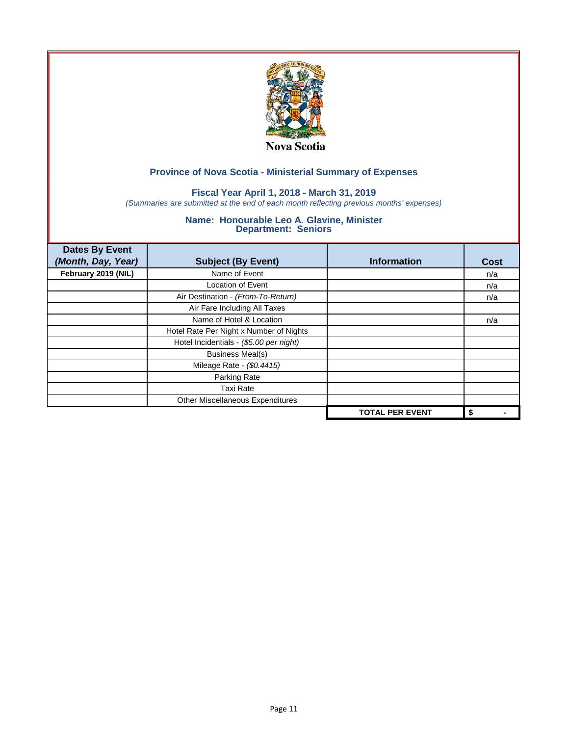

#### **Fiscal Year April 1, 2018 - March 31, 2019**

*(Summaries are submitted at the end of each month reflecting previous months' expenses)*

| <b>Dates By Event</b><br>(Month, Day, Year) | <b>Subject (By Event)</b>               | <b>Information</b>     | <b>Cost</b> |
|---------------------------------------------|-----------------------------------------|------------------------|-------------|
| February 2019 (NIL)                         | Name of Event                           |                        | n/a         |
|                                             | <b>Location of Event</b>                |                        | n/a         |
|                                             | Air Destination - (From-To-Return)      |                        | n/a         |
|                                             | Air Fare Including All Taxes            |                        |             |
|                                             | Name of Hotel & Location                |                        | n/a         |
|                                             | Hotel Rate Per Night x Number of Nights |                        |             |
|                                             | Hotel Incidentials - (\$5.00 per night) |                        |             |
|                                             | <b>Business Meal(s)</b>                 |                        |             |
|                                             | Mileage Rate - (\$0.4415)               |                        |             |
|                                             | Parking Rate                            |                        |             |
|                                             | <b>Taxi Rate</b>                        |                        |             |
|                                             | Other Miscellaneous Expenditures        |                        |             |
|                                             |                                         | <b>TOTAL PER EVENT</b> | \$          |